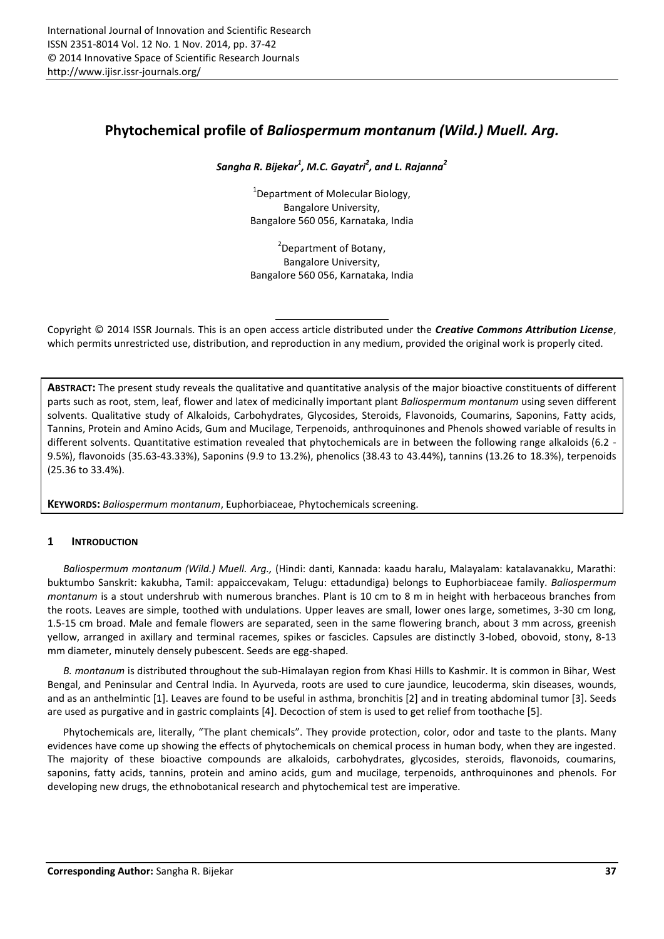# **Phytochemical profile of** *Baliospermum montanum (Wild.) Muell. Arg.*

*Sangha R. Bijekar<sup>1</sup> , M.C. Gayatri<sup>2</sup> , and L. Rajanna<sup>2</sup>*

<sup>1</sup>Department of Molecular Biology. Bangalore University, Bangalore 560 056, Karnataka, India

<sup>2</sup>Department of Botany, Bangalore University, Bangalore 560 056, Karnataka, India

Copyright © 2014 ISSR Journals. This is an open access article distributed under the *Creative Commons Attribution License*, which permits unrestricted use, distribution, and reproduction in any medium, provided the original work is properly cited.

**ABSTRACT:** The present study reveals the qualitative and quantitative analysis of the major bioactive constituents of different parts such as root, stem, leaf, flower and latex of medicinally important plant *Baliospermum montanum* using seven different solvents. Qualitative study of Alkaloids, Carbohydrates, Glycosides, Steroids, Flavonoids, Coumarins, Saponins, Fatty acids, Tannins, Protein and Amino Acids, Gum and Mucilage, Terpenoids, anthroquinones and Phenols showed variable of results in different solvents. Quantitative estimation revealed that phytochemicals are in between the following range alkaloids (6.2 - 9.5%), flavonoids (35.63-43.33%), Saponins (9.9 to 13.2%), phenolics (38.43 to 43.44%), tannins (13.26 to 18.3%), terpenoids (25.36 to 33.4%).

**KEYWORDS:** *Baliospermum montanum*, Euphorbiaceae, Phytochemicals screening.

## **1 INTRODUCTION**

*Baliospermum montanum (Wild.) Muell. Arg.,* (Hindi: danti, Kannada: kaadu haralu, Malayalam: katalavanakku, Marathi: buktumbo Sanskrit: kakubha, Tamil: appaiccevakam, Telugu: ettadundiga) belongs to Euphorbiaceae family. *Baliospermum montanum* is a stout undershrub with numerous branches. Plant is 10 cm to 8 m in height with herbaceous branches from the roots. Leaves are simple, toothed with undulations. Upper leaves are small, lower ones large, sometimes, 3-30 cm long, 1.5-15 cm broad. Male and female flowers are separated, seen in the same flowering branch, about 3 mm across, greenish yellow, arranged in axillary and terminal racemes, spikes or fascicles. Capsules are distinctly 3-lobed, obovoid, stony, 8-13 mm diameter, minutely densely pubescent. Seeds are egg-shaped.

*B. montanum* is distributed throughout the sub-Himalayan region from Khasi Hills to Kashmir. It is common in Bihar, West Bengal, and Peninsular and Central India. In Ayurveda, roots are used to cure jaundice, leucoderma, skin diseases, wounds, and as an anthelmintic [1]. Leaves are found to be useful in asthma, bronchitis [2] and in treating abdominal tumor [3]. Seeds are used as purgative and in gastric complaints [4]. Decoction of stem is used to get relief from toothache [5].

Phytochemicals are, literally, "The plant chemicals". They provide protection, color, odor and taste to the plants. Many evidences have come up showing the effects of phytochemicals on chemical process in human body, when they are ingested. The majority of these bioactive compounds are alkaloids, carbohydrates, glycosides, steroids, flavonoids, coumarins, saponins, fatty acids, tannins, protein and amino acids, gum and mucilage, terpenoids, anthroquinones and phenols. For developing new drugs, the ethnobotanical research and phytochemical test are imperative.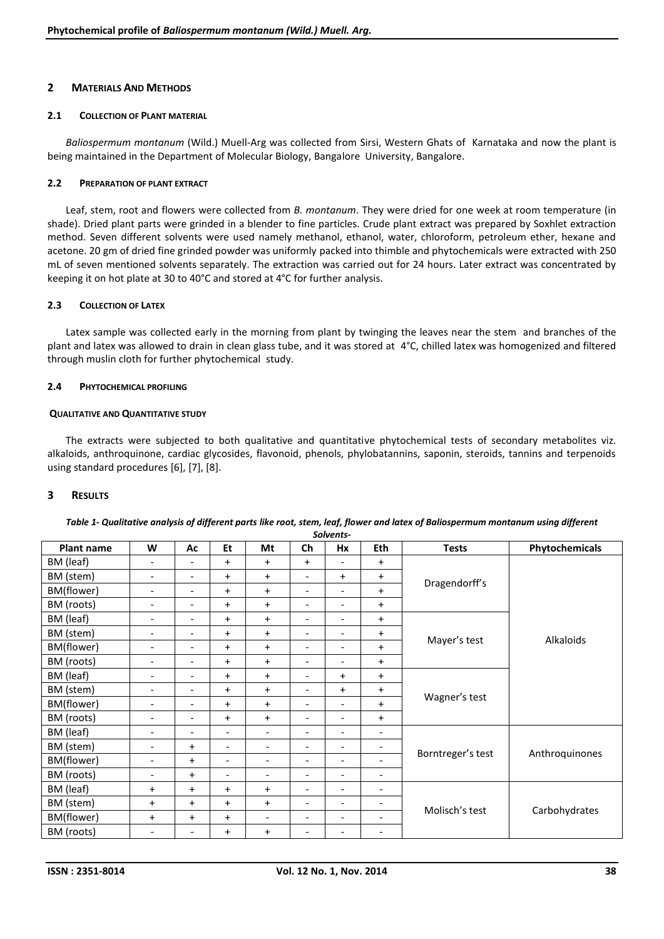#### **2 MATERIALS AND METHODS**

#### **2.1 COLLECTION OF PLANT MATERIAL**

*Baliospermum montanum* (Wild.) Muell-Arg was collected from Sirsi, Western Ghats of Karnataka and now the plant is being maintained in the Department of Molecular Biology, Bangalore University, Bangalore.

#### **2.2 PREPARATION OF PLANT EXTRACT**

Leaf, stem, root and flowers were collected from *B. montanum*. They were dried for one week at room temperature (in shade). Dried plant parts were grinded in a blender to fine particles. Crude plant extract was prepared by Soxhlet extraction method. Seven different solvents were used namely methanol, ethanol, water, chloroform, petroleum ether, hexane and acetone. 20 gm of dried fine grinded powder was uniformly packed into thimble and phytochemicals were extracted with 250 mL of seven mentioned solvents separately. The extraction was carried out for 24 hours. Later extract was concentrated by keeping it on hot plate at 30 to 40°C and stored at 4°C for further analysis.

#### **2.3 COLLECTION OF LATEX**

Latex sample was collected early in the morning from plant by twinging the leaves near the stem and branches of the plant and latex was allowed to drain in clean glass tube, and it was stored at 4°C, chilled latex was homogenized and filtered through muslin cloth for further phytochemical study.

#### **2.4 PHYTOCHEMICAL PROFILING**

#### **QUALITATIVE AND QUANTITATIVE STUDY**

The extracts were subjected to both qualitative and quantitative phytochemical tests of secondary metabolites viz. alkaloids, anthroquinone, cardiac glycosides, flavonoid, phenols, phylobatannins, saponin, steroids, tannins and terpenoids using standard procedures [6], [7], [8].

### **3 RESULTS**

| <b>Plant name</b> | W                        | Ac                       | Et                       | Mt                       | Ch                       | Hx                       | Eth                      | <b>Tests</b>      | Phytochemicals |
|-------------------|--------------------------|--------------------------|--------------------------|--------------------------|--------------------------|--------------------------|--------------------------|-------------------|----------------|
| BM (leaf)         | $\overline{\phantom{a}}$ | $\overline{\phantom{0}}$ | $\ddot{}$                | $+$                      | $+$                      | $\overline{\phantom{a}}$ | $+$                      |                   |                |
| BM (stem)         | $\overline{\phantom{a}}$ | $\overline{\phantom{a}}$ | $\ddot{}$                | $+$                      | $\overline{\phantom{a}}$ | $+$                      | $\ddot{}$                |                   |                |
| BM(flower)        | $\overline{\phantom{a}}$ | $\overline{\phantom{0}}$ | $\ddot{}$                | $+$                      | $\overline{\phantom{0}}$ | $\overline{\phantom{0}}$ | $\ddot{}$                | Dragendorff's     |                |
| BM (roots)        | $\overline{\phantom{a}}$ | $\overline{\phantom{0}}$ | $\ddot{}$                | $+$                      | $\overline{\phantom{a}}$ | $\overline{\phantom{a}}$ | $+$                      |                   |                |
| BM (leaf)         | $\overline{\phantom{a}}$ | $\overline{\phantom{0}}$ | $\ddot{}$                | $+$                      | $\overline{\phantom{a}}$ | $\overline{\phantom{a}}$ | $\ddot{}$                |                   |                |
| BM (stem)         | $\overline{\phantom{a}}$ | $\overline{\phantom{0}}$ | $\ddot{}$                | $+$                      | $\overline{\phantom{a}}$ | $\overline{\phantom{a}}$ | $+$                      |                   |                |
| BM(flower)        | $\overline{\phantom{a}}$ | $\overline{\phantom{a}}$ | $\ddot{}$                | $+$                      | $\overline{\phantom{a}}$ | $\overline{\phantom{a}}$ | $\ddot{}$                | Mayer's test      | Alkaloids      |
| BM (roots)        | $\overline{\phantom{a}}$ | $\overline{\phantom{0}}$ | $+$                      | $+$                      | $\overline{\phantom{a}}$ | $\overline{\phantom{a}}$ | $\ddot{}$                |                   |                |
| BM (leaf)         | $\overline{\phantom{a}}$ | $\overline{\phantom{0}}$ | $\ddot{}$                | $+$                      | $\overline{\phantom{a}}$ | $\ddot{}$                | $\ddot{}$                |                   |                |
| BM (stem)         | $\overline{\phantom{a}}$ | $\overline{\phantom{0}}$ | $\ddot{}$                | $+$                      | $\overline{\phantom{a}}$ | $+$                      | $+$                      |                   |                |
| BM(flower)        | $\overline{\phantom{a}}$ | $\overline{\phantom{0}}$ | $+$                      | $+$                      | $\overline{\phantom{0}}$ | $\blacksquare$           | $+$                      | Wagner's test     |                |
| BM (roots)        | $\overline{\phantom{0}}$ | $\overline{\phantom{0}}$ | $+$                      | $+$                      | $\overline{\phantom{a}}$ | $\overline{\phantom{a}}$ | $\ddot{}$                |                   |                |
| BM (leaf)         | $\overline{\phantom{a}}$ | $\overline{\phantom{0}}$ | $\overline{\phantom{a}}$ | $\overline{\phantom{a}}$ | $\overline{\phantom{a}}$ | $\overline{\phantom{a}}$ | $\overline{\phantom{a}}$ |                   |                |
| BM (stem)         | $\overline{\phantom{a}}$ | $+$                      | $\overline{\phantom{a}}$ | $\overline{\phantom{a}}$ | $\overline{\phantom{a}}$ | $\overline{\phantom{a}}$ | $\overline{\phantom{a}}$ | Borntreger's test |                |
| BM(flower)        | $\overline{\phantom{a}}$ | $\ddot{}$                | $\overline{\phantom{a}}$ | $\overline{\phantom{a}}$ | $\overline{\phantom{a}}$ | $\overline{\phantom{a}}$ | $\overline{\phantom{a}}$ |                   | Anthroquinones |
| BM (roots)        | $\overline{\phantom{a}}$ | $\ddot{}$                | $\overline{\phantom{0}}$ | $\overline{\phantom{a}}$ | $\overline{\phantom{0}}$ | $\overline{\phantom{a}}$ | $\qquad \qquad -$        |                   |                |
| BM (leaf)         | $\ddot{}$                | $\ddot{}$                | $\ddot{}$                | $+$                      | $\overline{\phantom{a}}$ | $\overline{\phantom{a}}$ | $\overline{\phantom{a}}$ |                   |                |
| BM (stem)         | $\ddot{}$                | $\ddot{}$                | $\ddot{}$                | $+$                      | $\overline{\phantom{a}}$ | $\overline{\phantom{a}}$ | $\overline{\phantom{a}}$ | Molisch's test    |                |
| BM(flower)        | $\ddot{}$                | $\ddot{}$                | $\ddot{}$                | $\overline{\phantom{a}}$ | $\overline{\phantom{a}}$ | $\overline{\phantom{a}}$ | $\overline{\phantom{a}}$ |                   | Carbohydrates  |
| BM (roots)        | $\overline{\phantom{0}}$ | $\overline{\phantom{0}}$ | $\ddot{}$                | $\ddot{}$                | -                        | $\overline{\phantom{a}}$ |                          |                   |                |

#### *Table 1- Qualitative analysis of different parts like root, stem, leaf, flower and latex of Baliospermum montanum using different Solvents-*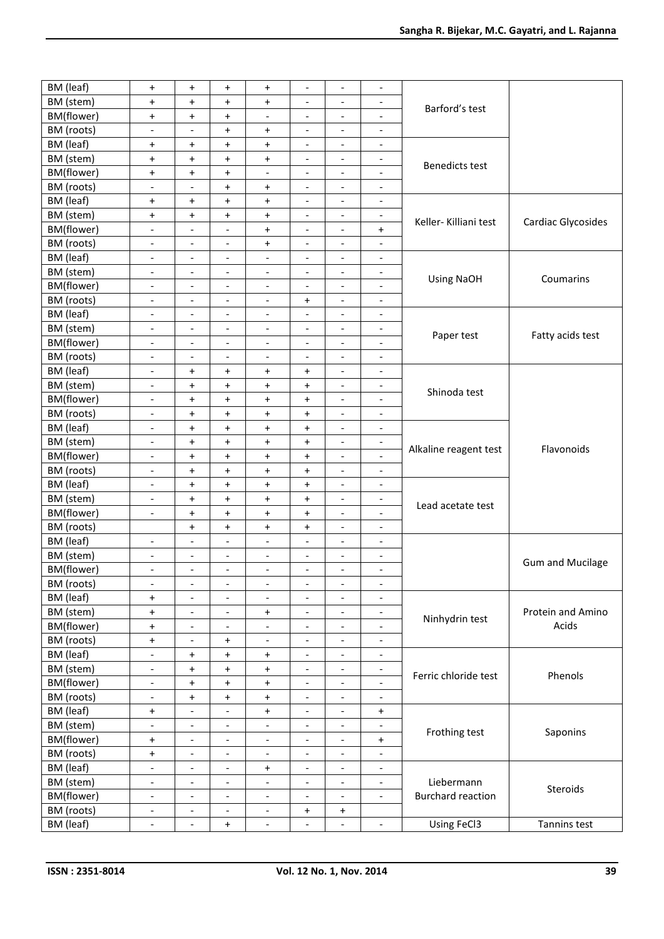| BM (leaf)  | $\begin{array}{c} + \end{array}$ | $\ddot{}$                        | $\ddot{}$                        | $\ddot{}$                        | $\overline{\phantom{a}}$ | $\qquad \qquad \blacksquare$ | $\overline{\phantom{a}}$     |                          |                            |
|------------|----------------------------------|----------------------------------|----------------------------------|----------------------------------|--------------------------|------------------------------|------------------------------|--------------------------|----------------------------|
| BM (stem)  | $\begin{array}{c} + \end{array}$ | $\ddot{}$                        | $\ddot{}$                        | $\ddot{}$                        | $\overline{\phantom{a}}$ | $\qquad \qquad \blacksquare$ | $\overline{\phantom{a}}$     |                          |                            |
| BM(flower) | $\ddot{}$                        | $\begin{array}{c} + \end{array}$ | $\ddot{}$                        | $\overline{\phantom{a}}$         | $\overline{\phantom{a}}$ | $\qquad \qquad \blacksquare$ | $\overline{\phantom{a}}$     | Barford's test           |                            |
| BM (roots) | $\overline{\phantom{a}}$         | $\overline{\phantom{a}}$         | $\ddot{}$                        | $\ddot{}$                        | $\overline{\phantom{a}}$ | $\overline{\phantom{a}}$     | $\overline{\phantom{a}}$     |                          |                            |
| BM (leaf)  | $\ddot{}$                        | $\ddot{}$                        | $\ddot{}$                        | $\ddot{}$                        | $\overline{\phantom{a}}$ | $\overline{\phantom{a}}$     | $\overline{\phantom{a}}$     |                          |                            |
| BM (stem)  | $\ddot{}$                        | $\ddot{}$                        | $\ddot{}$                        | $\ddot{}$                        | $\overline{\phantom{a}}$ | $\overline{\phantom{a}}$     | $\overline{\phantom{a}}$     |                          |                            |
|            |                                  |                                  |                                  |                                  |                          |                              |                              | <b>Benedicts test</b>    |                            |
| BM(flower) | $\ddot{}$                        | $\ddot{}$                        | $\begin{array}{c} + \end{array}$ | $\overline{a}$                   | $\overline{\phantom{0}}$ | $\overline{\phantom{a}}$     | $\overline{a}$               |                          |                            |
| BM (roots) | $\qquad \qquad \blacksquare$     | $\qquad \qquad \blacksquare$     | $\ddot{}$                        | $\ddot{}$                        | -                        | $\qquad \qquad \blacksquare$ | $\overline{\phantom{a}}$     |                          |                            |
| BM (leaf)  | $\begin{array}{c} + \end{array}$ | $\pmb{+}$                        | $\ddot{}$                        | $\ddot{}$                        | $\overline{\phantom{a}}$ | $\qquad \qquad -$            | $\qquad \qquad -$            |                          |                            |
| BM (stem)  | $\ddot{}$                        | $\begin{array}{c} + \end{array}$ | $\ddot{}$                        | $\ddot{}$                        | $\overline{\phantom{a}}$ | $\qquad \qquad -$            | $\overline{\phantom{a}}$     | Keller-Killiani test     | Cardiac Glycosides         |
| BM(flower) | $\overline{\phantom{a}}$         | $\overline{\phantom{a}}$         | $\overline{\phantom{a}}$         | $\ddot{}$                        | $\overline{\phantom{a}}$ | $\qquad \qquad \blacksquare$ | $\ddot{}$                    |                          |                            |
| BM (roots) | $\overline{\phantom{a}}$         | $\overline{\phantom{a}}$         | $\overline{\phantom{a}}$         | $\ddot{}$                        | $\overline{\phantom{a}}$ | $\overline{\phantom{a}}$     | $\overline{\phantom{a}}$     |                          |                            |
| BM (leaf)  | $\overline{\phantom{a}}$         | $\overline{\phantom{a}}$         | $\overline{\phantom{a}}$         | $\overline{\phantom{a}}$         | $\overline{\phantom{a}}$ | $\qquad \qquad -$            | $\overline{\phantom{a}}$     |                          |                            |
| BM (stem)  | $\overline{\phantom{a}}$         | $\overline{\phantom{a}}$         | $\overline{\phantom{a}}$         | $\overline{\phantom{a}}$         | $\overline{\phantom{a}}$ | $\overline{\phantom{a}}$     | $\overline{\phantom{a}}$     | <b>Using NaOH</b>        | Coumarins                  |
| BM(flower) | $\overline{\phantom{a}}$         | $\overline{\phantom{a}}$         | $\overline{\phantom{a}}$         | $\overline{\phantom{a}}$         | $\overline{\phantom{0}}$ | $\overline{\phantom{a}}$     | $\overline{\phantom{a}}$     |                          |                            |
| BM (roots) | $\overline{\phantom{a}}$         | $\overline{\phantom{a}}$         | $\overline{\phantom{a}}$         | $\overline{a}$                   | $\ddot{}$                | $\overline{\phantom{a}}$     | $\overline{\phantom{a}}$     |                          |                            |
| BM (leaf)  | $\qquad \qquad -$                | $\overline{\phantom{a}}$         | $\overline{\phantom{a}}$         | $\overline{\phantom{a}}$         | $\overline{\phantom{a}}$ | $\qquad \qquad -$            | $\qquad \qquad \blacksquare$ |                          |                            |
| BM (stem)  | $\overline{\phantom{a}}$         | $\overline{\phantom{a}}$         | $\overline{\phantom{a}}$         | $\overline{\phantom{a}}$         | $\overline{\phantom{a}}$ | $\qquad \qquad \blacksquare$ | $\overline{\phantom{a}}$     |                          |                            |
| BM(flower) | $\overline{\phantom{a}}$         | $\overline{\phantom{a}}$         | $\overline{\phantom{a}}$         | $\overline{\phantom{a}}$         | $\overline{\phantom{a}}$ | $\qquad \qquad -$            | $\overline{\phantom{a}}$     | Paper test               | Fatty acids test           |
| BM (roots) | $\overline{\phantom{a}}$         | $\overline{\phantom{a}}$         | $\overline{\phantom{a}}$         | $\overline{\phantom{a}}$         | $\overline{\phantom{a}}$ | $\overline{\phantom{a}}$     | $\overline{\phantom{a}}$     |                          |                            |
| BM (leaf)  | $\overline{\phantom{a}}$         | $\ddot{}$                        | $\ddot{}$                        | $\ddot{}$                        | $\ddot{}$                | $\overline{\phantom{a}}$     | $\overline{\phantom{a}}$     |                          |                            |
| BM (stem)  | $\overline{\phantom{a}}$         | $\begin{array}{c} + \end{array}$ | $\ddot{}$                        | $\ddot{}$                        | $\ddot{}$                | $\overline{\phantom{a}}$     | $\overline{\phantom{a}}$     |                          |                            |
| BM(flower) | $\overline{\phantom{a}}$         | $\ddot{}$                        | $\ddot{}$                        | $\ddot{}$                        | $\ddot{}$                | $\overline{\phantom{a}}$     | $\overline{\phantom{a}}$     | Shinoda test             |                            |
| BM (roots) | $\overline{a}$                   | $\ddot{}$                        | $\begin{array}{c} + \end{array}$ | $\begin{array}{c} + \end{array}$ | $\ddot{}$                | $\overline{\phantom{a}}$     | $\overline{\phantom{a}}$     |                          |                            |
| BM (leaf)  | $\qquad \qquad \blacksquare$     | $\begin{array}{c} + \end{array}$ | $\ddot{}$                        | $\ddot{}$                        | $\ddot{}$                | $\qquad \qquad \blacksquare$ | $\qquad \qquad \blacksquare$ |                          | Flavonoids                 |
| BM (stem)  | $\overline{\phantom{a}}$         | $\ddot{}$                        | $\ddot{}$                        | $\ddot{}$                        | $\ddot{}$                | $\qquad \qquad \blacksquare$ | $\overline{\phantom{a}}$     |                          |                            |
| BM(flower) |                                  |                                  |                                  |                                  |                          |                              |                              | Alkaline reagent test    |                            |
|            | $\overline{\phantom{a}}$         | $\ddot{}$                        | $\ddot{}$                        | $\ddot{}$                        | $\ddot{}$                | $\overline{\phantom{a}}$     | $\overline{\phantom{a}}$     |                          |                            |
| BM (roots) | $\overline{\phantom{a}}$         | $\begin{array}{c} + \end{array}$ | $\ddot{}$                        | $\ddot{}$                        | $+$                      | $\overline{\phantom{a}}$     | $\overline{\phantom{a}}$     |                          |                            |
| BM (leaf)  | $\overline{\phantom{a}}$         | $\ddot{}$                        | $\ddot{}$                        | $\ddot{}$                        | $\ddot{}$                | $\overline{\phantom{a}}$     | $\overline{\phantom{a}}$     | Lead acetate test        |                            |
| BM (stem)  | $\blacksquare$                   | $\begin{array}{c} + \end{array}$ | $\ddot{}$                        | $\ddot{}$                        | $\ddot{}$                | $\blacksquare$               | $\overline{\phantom{a}}$     |                          |                            |
| BM(flower) | $\overline{\phantom{a}}$         | $\ddot{}$                        | $\begin{array}{c} + \end{array}$ | $\ddot{}$                        | $\ddot{}$                | $\qquad \qquad \blacksquare$ | $\overline{\phantom{a}}$     |                          |                            |
| BM (roots) |                                  | $\ddot{}$                        | $\ddot{}$                        | $\ddot{}$                        | $\ddot{}$                | $\overline{\phantom{a}}$     | $\overline{\phantom{a}}$     |                          |                            |
| BM (leaf)  | $\overline{\phantom{a}}$         | $\overline{\phantom{a}}$         | $\overline{a}$                   | $\overline{\phantom{a}}$         | $\overline{\phantom{0}}$ | $\overline{a}$               | $\overline{a}$               |                          |                            |
| BM (stem)  | $\overline{\phantom{a}}$         | $\overline{\phantom{a}}$         | $\overline{\phantom{a}}$         | $\overline{\phantom{a}}$         | $\overline{\phantom{a}}$ | $\qquad \qquad \blacksquare$ | $\overline{\phantom{a}}$     |                          | <b>Gum and Mucilage</b>    |
| BM(flower) | $\overline{\phantom{a}}$         | $\overline{\phantom{a}}$         | $\overline{\phantom{a}}$         | $\overline{\phantom{a}}$         | $\overline{\phantom{a}}$ | $\overline{\phantom{a}}$     | $\overline{\phantom{a}}$     |                          |                            |
| BM (roots) | $\overline{\phantom{a}}$         | $\overline{\phantom{a}}$         | $\overline{\phantom{a}}$         | $\overline{\phantom{a}}$         | $\overline{\phantom{a}}$ | $\overline{\phantom{a}}$     | $\overline{\phantom{a}}$     |                          |                            |
| BM (leaf)  | $\ddot{}$                        | $\overline{\phantom{a}}$         | $\overline{\phantom{a}}$         | $\overline{\phantom{a}}$         | $\overline{\phantom{0}}$ | $\overline{a}$               | $\overline{\phantom{a}}$     |                          |                            |
| BM (stem)  | $\begin{array}{c} + \end{array}$ | $\overline{\phantom{a}}$         | $\overline{\phantom{a}}$         | $\ddot{}$                        | $\overline{\phantom{a}}$ | $\overline{\phantom{a}}$     | $\overline{\phantom{a}}$     |                          | Protein and Amino<br>Acids |
| BM(flower) | $\ddot{}$                        | $\overline{\phantom{a}}$         | $\overline{\phantom{a}}$         | $\overline{\phantom{a}}$         | $\overline{\phantom{a}}$ | $\overline{\phantom{a}}$     | $\overline{\phantom{a}}$     | Ninhydrin test           |                            |
| BM (roots) | $\ddot{}$                        | $\overline{\phantom{a}}$         | $\ddot{}$                        | $\overline{\phantom{a}}$         | $\overline{\phantom{a}}$ | $\qquad \qquad -$            | $\overline{\phantom{a}}$     |                          |                            |
| BM (leaf)  | $\overline{a}$                   | $\ddot{}$                        | $\ddot{}$                        | $\ddot{}$                        | $\overline{\phantom{a}}$ | $\overline{\phantom{a}}$     | $\overline{\phantom{a}}$     |                          |                            |
| BM (stem)  | $\overline{\phantom{a}}$         | $\ddot{}$                        | $\ddot{}$                        | $\ddot{}$                        | $\overline{\phantom{a}}$ | $\qquad \qquad \blacksquare$ | $\overline{\phantom{a}}$     |                          | Phenols                    |
| BM(flower) | $\overline{\phantom{a}}$         | $\ddot{}$                        | $\ddot{}$                        | $\ddot{}$                        | $\overline{\phantom{a}}$ | $\qquad \qquad \blacksquare$ | $\overline{\phantom{a}}$     | Ferric chloride test     |                            |
| BM (roots) | $\overline{\phantom{a}}$         | $\ddot{}$                        | $\ddot{}$                        | $\ddot{}$                        | $\overline{\phantom{a}}$ | $\overline{\phantom{a}}$     | $\overline{\phantom{a}}$     |                          |                            |
| BM (leaf)  | $\ddot{}$                        | $\overline{\phantom{a}}$         | $\overline{\phantom{a}}$         | $\ddot{}$                        | $\overline{\phantom{a}}$ | $\blacksquare$               | $\ddot{}$                    |                          |                            |
| BM (stem)  | $\overline{\phantom{a}}$         | $\overline{\phantom{a}}$         | $\overline{\phantom{a}}$         | $\overline{\phantom{a}}$         | $\overline{\phantom{a}}$ | $\overline{\phantom{a}}$     | $\overline{\phantom{a}}$     |                          |                            |
| BM(flower) | $\begin{array}{c} + \end{array}$ | $\overline{\phantom{a}}$         | $\overline{\phantom{a}}$         | $\overline{\phantom{a}}$         | $\overline{\phantom{a}}$ | $\blacksquare$               | $\ddot{}$                    | Frothing test            | Saponins                   |
| BM (roots) | $\ddot{}$                        | $\overline{\phantom{a}}$         | $\overline{\phantom{a}}$         | $\overline{\phantom{a}}$         | $\overline{\phantom{a}}$ | $\overline{\phantom{a}}$     | $\overline{\phantom{a}}$     |                          |                            |
|            |                                  |                                  |                                  |                                  |                          |                              |                              |                          |                            |
| BM (leaf)  | $\qquad \qquad \blacksquare$     | $\overline{\phantom{a}}$         | $\overline{\phantom{a}}$         | $\ddot{}$                        | $\overline{\phantom{a}}$ | $\overline{\phantom{a}}$     | $\overline{\phantom{a}}$     |                          |                            |
| BM (stem)  | $\overline{\phantom{a}}$         | $\qquad \qquad \blacksquare$     | $\overline{\phantom{a}}$         | $\overline{\phantom{a}}$         | $\overline{\phantom{a}}$ | $\qquad \qquad \blacksquare$ | $\overline{\phantom{a}}$     | Liebermann               | Steroids                   |
| BM(flower) | $\overline{\phantom{a}}$         | $\overline{\phantom{a}}$         | $\overline{\phantom{a}}$         | $\overline{\phantom{a}}$         | $\overline{\phantom{a}}$ | $\overline{\phantom{a}}$     | $\overline{\phantom{a}}$     | <b>Burchard reaction</b> |                            |
| BM (roots) | $\overline{\phantom{a}}$         | $\overline{\phantom{a}}$         | $\overline{\phantom{a}}$         | $\overline{\phantom{a}}$         | $\ddot{}$                | $\ddot{}$                    |                              |                          |                            |
| BM (leaf)  | $\overline{\phantom{a}}$         | $\overline{\phantom{m}}$         | $+$                              | $\overline{\phantom{a}}$         | $\overline{\phantom{0}}$ | $\overline{\phantom{a}}$     | $\overline{\phantom{a}}$     | Using FeCl3              | Tannins test               |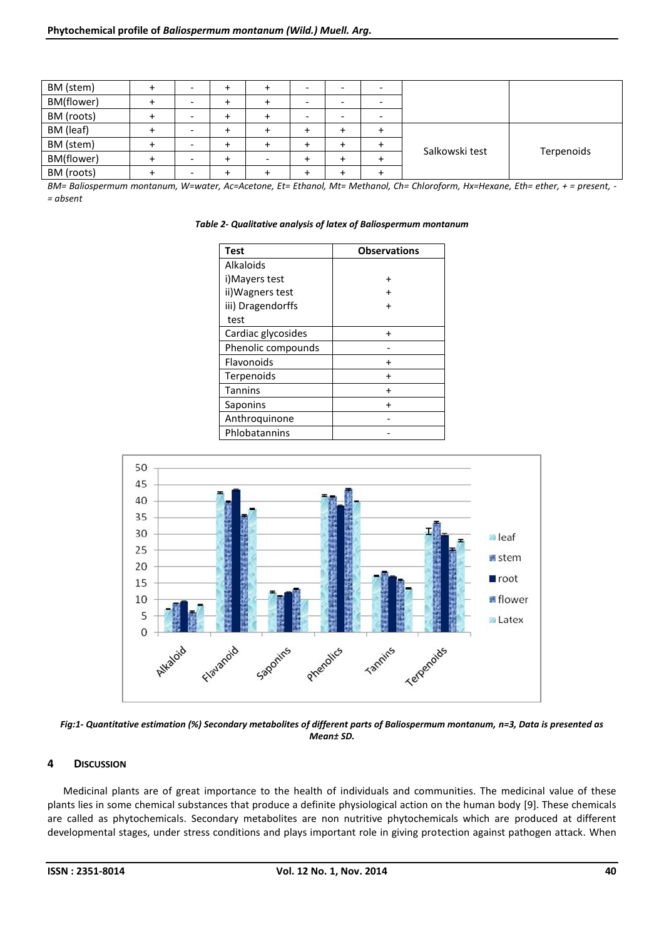| BM (stem)  | $\overline{\phantom{0}}$ |  |  |                |            |
|------------|--------------------------|--|--|----------------|------------|
| BM(flower) | -                        |  |  |                |            |
| BM (roots) | -                        |  |  |                |            |
| BM (leaf)  | -                        |  |  |                |            |
| BM (stem)  | $\overline{\phantom{a}}$ |  |  |                |            |
| BM(flower) | -                        |  |  | Salkowski test | Terpenoids |
| BM (roots) | -                        |  |  |                |            |

*BM= Baliospermum montanum, W=water, Ac=Acetone, Et= Ethanol, Mt= Methanol, Ch= Chloroform, Hx=Hexane, Eth= ether, + = present, - = absent*

| Table 2- Qualitative analysis of latex of Baliospermum montanum |
|-----------------------------------------------------------------|
|-----------------------------------------------------------------|

| <b>Test</b>        | <b>Observations</b> |
|--------------------|---------------------|
| Alkaloids          |                     |
| i)Mayers test      |                     |
| ii) Wagners test   |                     |
| iii) Dragendorffs  |                     |
| test               |                     |
| Cardiac glycosides |                     |
| Phenolic compounds |                     |
| Flavonoids         |                     |
| Terpenoids         |                     |
| <b>Tannins</b>     |                     |
| Saponins           |                     |
| Anthroquinone      |                     |
| Phlobatannins      |                     |



*Fig:1- Quantitative estimation (%) Secondary metabolites of different parts of Baliospermum montanum, n=3, Data is presented as Mean± SD.*

#### **4 DISCUSSION**

Medicinal plants are of great importance to the health of individuals and communities. The medicinal value of these plants lies in some chemical substances that produce a definite physiological action on the human body [9]. These chemicals are called as phytochemicals. Secondary metabolites are non nutritive phytochemicals which are produced at different developmental stages, under stress conditions and plays important role in giving protection against pathogen attack. When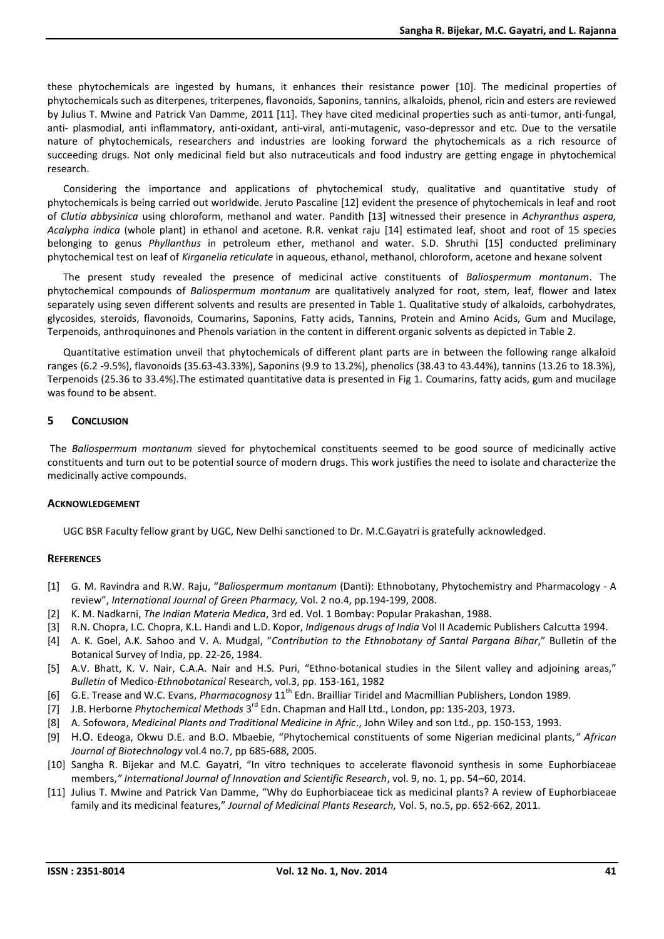these phytochemicals are ingested by humans, it enhances their resistance power [10]. The medicinal properties of phytochemicals such as diterpenes, triterpenes, flavonoids, Saponins, tannins, alkaloids, phenol, ricin and esters are reviewed by Julius T. Mwine and Patrick Van Damme, 2011 [11]. They have cited medicinal properties such as anti-tumor, anti-fungal, anti- plasmodial, anti inflammatory, anti-oxidant, anti-viral, anti-mutagenic, vaso-depressor and etc. Due to the versatile nature of phytochemicals, researchers and industries are looking forward the phytochemicals as a rich resource of succeeding drugs. Not only medicinal field but also nutraceuticals and food industry are getting engage in phytochemical research.

Considering the importance and applications of phytochemical study, qualitative and quantitative study of phytochemicals is being carried out worldwide. Jeruto Pascaline [12] evident the presence of phytochemicals in leaf and root of *Clutia abbysinica* using chloroform, methanol and water. Pandith [13] witnessed their presence in *Achyranthus aspera, Acalypha indica* (whole plant) in ethanol and acetone. R.R. venkat raju [14] estimated leaf, shoot and root of 15 species belonging to genus *Phyllanthus* in petroleum ether, methanol and water. S.D. Shruthi [15] conducted preliminary phytochemical test on leaf of *Kirganelia reticulate* in aqueous, ethanol, methanol, chloroform, acetone and hexane solvent

The present study revealed the presence of medicinal active constituents of *Baliospermum montanum*. The phytochemical compounds of *Baliospermum montanum* are qualitatively analyzed for root, stem, leaf, flower and latex separately using seven different solvents and results are presented in Table 1. Qualitative study of alkaloids, carbohydrates, glycosides, steroids, flavonoids, Coumarins, Saponins, Fatty acids, Tannins, Protein and Amino Acids, Gum and Mucilage, Terpenoids, anthroquinones and Phenols variation in the content in different organic solvents as depicted in Table 2.

Quantitative estimation unveil that phytochemicals of different plant parts are in between the following range alkaloid ranges (6.2 -9.5%), flavonoids (35.63-43.33%), Saponins (9.9 to 13.2%), phenolics (38.43 to 43.44%), tannins (13.26 to 18.3%), Terpenoids (25.36 to 33.4%).The estimated quantitative data is presented in Fig 1. Coumarins, fatty acids, gum and mucilage was found to be absent.

#### **5 CONCLUSION**

The *Baliospermum montanum* sieved for phytochemical constituents seemed to be good source of medicinally active constituents and turn out to be potential source of modern drugs. This work justifies the need to isolate and characterize the medicinally active compounds.

#### **ACKNOWLEDGEMENT**

UGC BSR Faculty fellow grant by UGC, New Delhi sanctioned to Dr. M.C.Gayatri is gratefully acknowledged.

#### **REFERENCES**

- [1] G. M. Ravindra and R.W. Raju, "*Baliospermum montanum* (Danti): Ethnobotany, Phytochemistry and Pharmacology A review", *International Journal of Green Pharmacy,* Vol. 2 no.4, pp.194-199, 2008.
- [2] K. M. Nadkarni, *The Indian Materia Medica*, 3rd ed. Vol. 1 Bombay: Popular Prakashan, 1988.
- [3] R.N. Chopra, I.C. Chopra, K.L. Handi and L.D. Kopor, *Indigenous drugs of India* Vol II Academic Publishers Calcutta 1994.
- [4] A. K. Goel, A.K. Sahoo and V. A. Mudgal, "*Contribution to the Ethnobotany of Santal Pargana Bihar*," Bulletin of the Botanical Survey of India, pp. 22-26, 1984.
- [5] A.V. Bhatt, K. V. Nair, C.A.A. Nair and H.S. Puri, "Ethno-botanical studies in the Silent valley and adjoining areas," *Bulletin* of Medico-*Ethnobotanical* Research, vol.3, pp. 153-161, 1982
- [6] G.E. Trease and W.C. Evans, *Pharmacognosy* 11<sup>th</sup> Edn. Brailliar Tiridel and Macmillian Publishers, London 1989.
- [7] J.B. Herborne *Phytochemical Methods* 3 rd Edn. Chapman and Hall Ltd., London, pp: 135-203, 1973.
- [8] A. Sofowora, *Medicinal Plants and Traditional Medicine in Afric*., John Wiley and son Ltd., pp. 150-153, 1993.
- [9] H.O. Edeoga, Okwu D.E. and B.O. Mbaebie, "Phytochemical constituents of some Nigerian medicinal plants,*" African Journal of Biotechnology* vol.4 no.7, pp 685-688, 2005.
- [10] Sangha R. Bijekar and M.C. Gayatri, "In vitro techniques to accelerate flavonoid synthesis in some Euphorbiaceae members,*" International Journal of Innovation and Scientific Research*, vol. 9, no. 1, pp. 54–60, 2014.
- [11] Julius T. Mwine and Patrick Van Damme, "Why do Euphorbiaceae tick as medicinal plants? A review of Euphorbiaceae family and its medicinal features," *Journal of Medicinal Plants Research,* Vol. 5, no.5, pp. 652-662, 2011.